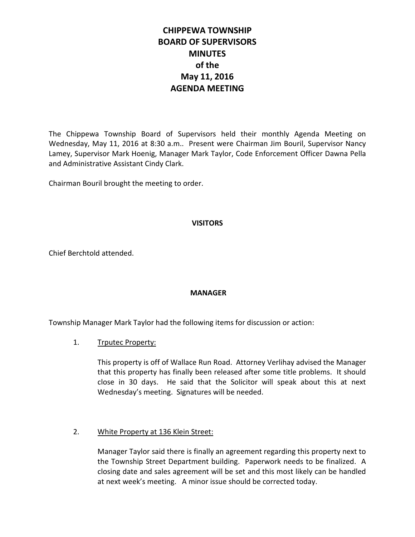# **CHIPPEWA TOWNSHIP BOARD OF SUPERVISORS MINUTES of the May 11, 2016 AGENDA MEETING**

The Chippewa Township Board of Supervisors held their monthly Agenda Meeting on Wednesday, May 11, 2016 at 8:30 a.m.. Present were Chairman Jim Bouril, Supervisor Nancy Lamey, Supervisor Mark Hoenig, Manager Mark Taylor, Code Enforcement Officer Dawna Pella and Administrative Assistant Cindy Clark.

Chairman Bouril brought the meeting to order.

#### **VISITORS**

Chief Berchtold attended.

# **MANAGER**

Township Manager Mark Taylor had the following items for discussion or action:

#### 1. Trputec Property:

This property is off of Wallace Run Road. Attorney Verlihay advised the Manager that this property has finally been released after some title problems. It should close in 30 days. He said that the Solicitor will speak about this at next Wednesday's meeting. Signatures will be needed.

# 2. White Property at 136 Klein Street:

Manager Taylor said there is finally an agreement regarding this property next to the Township Street Department building. Paperwork needs to be finalized. A closing date and sales agreement will be set and this most likely can be handled at next week's meeting. A minor issue should be corrected today.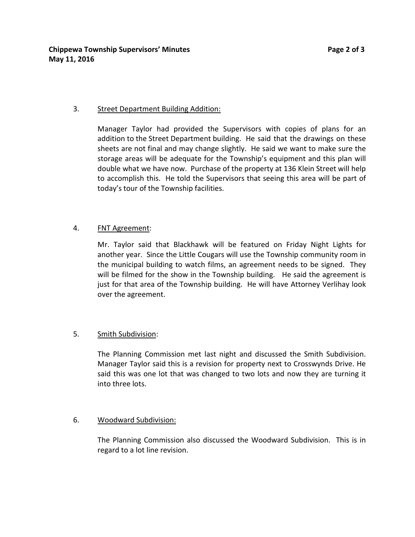#### 3. Street Department Building Addition:

Manager Taylor had provided the Supervisors with copies of plans for an addition to the Street Department building. He said that the drawings on these sheets are not final and may change slightly. He said we want to make sure the storage areas will be adequate for the Township's equipment and this plan will double what we have now. Purchase of the property at 136 Klein Street will help to accomplish this. He told the Supervisors that seeing this area will be part of today's tour of the Township facilities.

# 4. FNT Agreement:

Mr. Taylor said that Blackhawk will be featured on Friday Night Lights for another year. Since the Little Cougars will use the Township community room in the municipal building to watch films, an agreement needs to be signed. They will be filmed for the show in the Township building. He said the agreement is just for that area of the Township building. He will have Attorney Verlihay look over the agreement.

# 5. Smith Subdivision:

The Planning Commission met last night and discussed the Smith Subdivision. Manager Taylor said this is a revision for property next to Crosswynds Drive. He said this was one lot that was changed to two lots and now they are turning it into three lots.

# 6. Woodward Subdivision:

The Planning Commission also discussed the Woodward Subdivision. This is in regard to a lot line revision.